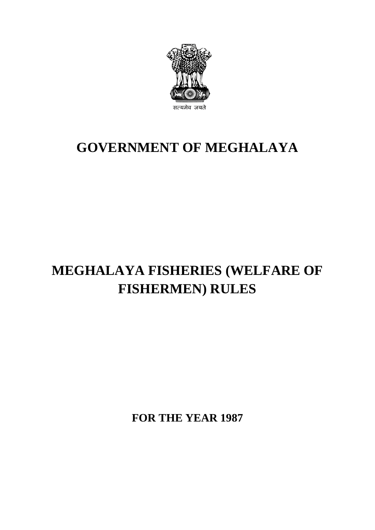

# **GOVERNMENT OF MEGHALAYA**

# **MEGHALAYA FISHERIES (WELFARE OF FISHERMEN) RULES**

**FOR THE YEAR 1987**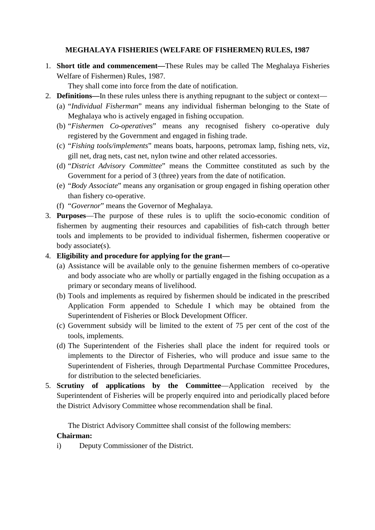## **MEGHALAYA FISHERIES (WELFARE OF FISHERMEN) RULES, 1987**

- 1. **Short title and commencement—**These Rules may be called The Meghalaya Fisheries Welfare of Fishermen) Rules, 1987.
	- They shall come into force from the date of notification.
- 2. **Definitions—**In these rules unless there is anything repugnant to the subject or context—
	- (a) "*Individual Fisherman*" means any individual fisherman belonging to the State of Meghalaya who is actively engaged in fishing occupation.
	- (b) "*Fishermen Co-operatives*" means any recognised fishery co-operative duly registered by the Government and engaged in fishing trade.
	- (c) "*Fishing tools/implements*" means boats, harpoons, petromax lamp, fishing nets, viz, gill net, drag nets, cast net, nylon twine and other related accessories.
	- (d) "*District Advisory Committee*" means the Committee constituted as such by the Government for a period of 3 (three) years from the date of notification.
	- (e) "*Body Associate*" means any organisation or group engaged in fishing operation other than fishery co-operative.
	- (f) "*Governor*" means the Governor of Meghalaya.
- 3. **Purposes**—The purpose of these rules is to uplift the socio-economic condition of fishermen by augmenting their resources and capabilities of fish-catch through better tools and implements to be provided to individual fishermen, fishermen cooperative or body associate(s).

## 4. **Eligibility and procedure for applying for the grant—**

- (a) Assistance will be available only to the genuine fishermen members of co-operative and body associate who are wholly or partially engaged in the fishing occupation as a primary or secondary means of livelihood.
- (b) Tools and implements as required by fishermen should be indicated in the prescribed Application Form appended to Schedule I which may be obtained from the Superintendent of Fisheries or Block Development Officer.
- (c) Government subsidy will be limited to the extent of 75 per cent of the cost of the tools, implements.
- (d) The Superintendent of the Fisheries shall place the indent for required tools or implements to the Director of Fisheries, who will produce and issue same to the Superintendent of Fisheries, through Departmental Purchase Committee Procedures, for distribution to the selected beneficiaries.
- 5. **Scrutiny of applications by the Committee**—Application received by the Superintendent of Fisheries will be properly enquired into and periodically placed before the District Advisory Committee whose recommendation shall be final.

The District Advisory Committee shall consist of the following members:

## **Chairman:**

i) Deputy Commissioner of the District.